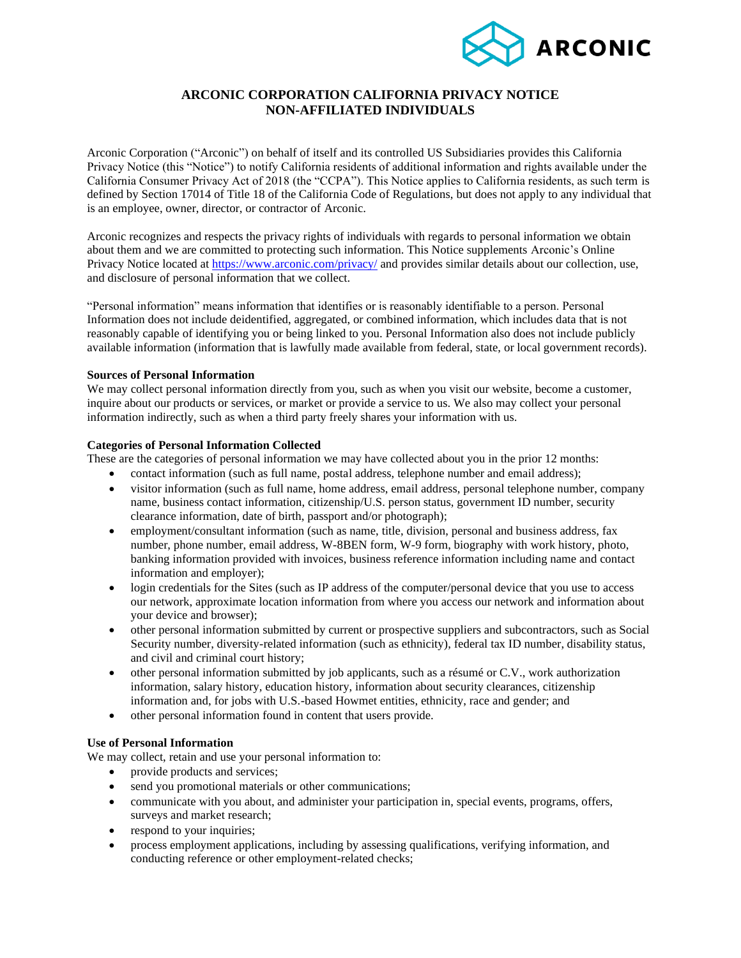

# **ARCONIC CORPORATION CALIFORNIA PRIVACY NOTICE NON-AFFILIATED INDIVIDUALS**

Arconic Corporation ("Arconic") on behalf of itself and its controlled US Subsidiaries provides this California Privacy Notice (this "Notice") to notify California residents of additional information and rights available under the California Consumer Privacy Act of 2018 (the "CCPA"). This Notice applies to California residents, as such term is defined by Section 17014 of Title 18 of the California Code of Regulations, but does not apply to any individual that is an employee, owner, director, or contractor of Arconic.

Arconic recognizes and respects the privacy rights of individuals with regards to personal information we obtain about them and we are committed to protecting such information. This Notice supplements Arconic's Online Privacy Notice located at<https://www.arconic.com/privacy/> and provides similar details about our collection, use, and disclosure of personal information that we collect.

"Personal information" means information that identifies or is reasonably identifiable to a person. Personal Information does not include deidentified, aggregated, or combined information, which includes data that is not reasonably capable of identifying you or being linked to you. Personal Information also does not include publicly available information (information that is lawfully made available from federal, state, or local government records).

## **Sources of Personal Information**

We may collect personal information directly from you, such as when you visit our website, become a customer, inquire about our products or services, or market or provide a service to us. We also may collect your personal information indirectly, such as when a third party freely shares your information with us.

#### **Categories of Personal Information Collected**

These are the categories of personal information we may have collected about you in the prior 12 months:

- contact information (such as full name, postal address, telephone number and email address);
- visitor information (such as full name, home address, email address, personal telephone number, company name, business contact information, citizenship/U.S. person status, government ID number, security clearance information, date of birth, passport and/or photograph);
- employment/consultant information (such as name, title, division, personal and business address, fax number, phone number, email address, W-8BEN form, W-9 form, biography with work history, photo, banking information provided with invoices, business reference information including name and contact information and employer);
- login credentials for the Sites (such as IP address of the computer/personal device that you use to access our network, approximate location information from where you access our network and information about your device and browser);
- other personal information submitted by current or prospective suppliers and subcontractors, such as Social Security number, diversity-related information (such as ethnicity), federal tax ID number, disability status, and civil and criminal court history;
- other personal information submitted by job applicants, such as a résumé or C.V., work authorization information, salary history, education history, information about security clearances, citizenship information and, for jobs with U.S.-based Howmet entities, ethnicity, race and gender; and
- other personal information found in content that users provide.

## **Use of Personal Information**

We may collect, retain and use your personal information to:

- provide products and services;
- send you promotional materials or other communications;
- communicate with you about, and administer your participation in, special events, programs, offers, surveys and market research;
- respond to your inquiries;
- process employment applications, including by assessing qualifications, verifying information, and conducting reference or other employment-related checks;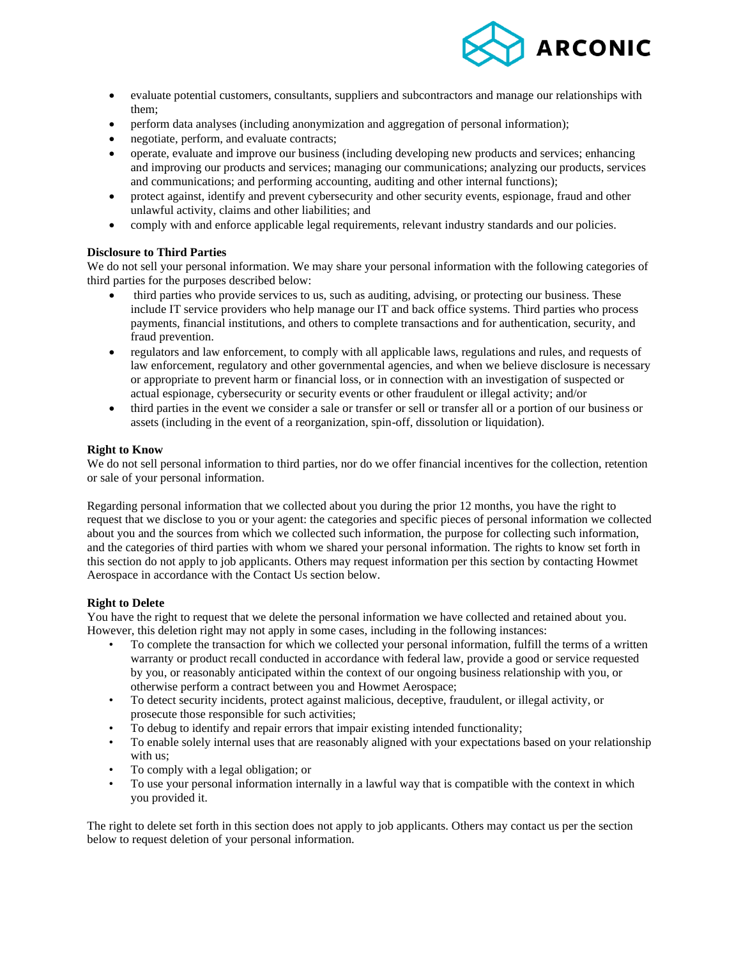

- evaluate potential customers, consultants, suppliers and subcontractors and manage our relationships with them;
- perform data analyses (including anonymization and aggregation of personal information);
- negotiate, perform, and evaluate contracts;
- operate, evaluate and improve our business (including developing new products and services; enhancing and improving our products and services; managing our communications; analyzing our products, services and communications; and performing accounting, auditing and other internal functions);
- protect against, identify and prevent cybersecurity and other security events, espionage, fraud and other unlawful activity, claims and other liabilities; and
- comply with and enforce applicable legal requirements, relevant industry standards and our policies.

### **Disclosure to Third Parties**

We do not sell your personal information. We may share your personal information with the following categories of third parties for the purposes described below:

- third parties who provide services to us, such as auditing, advising, or protecting our business. These include IT service providers who help manage our IT and back office systems. Third parties who process payments, financial institutions, and others to complete transactions and for authentication, security, and fraud prevention.
- regulators and law enforcement, to comply with all applicable laws, regulations and rules, and requests of law enforcement, regulatory and other governmental agencies, and when we believe disclosure is necessary or appropriate to prevent harm or financial loss, or in connection with an investigation of suspected or actual espionage, cybersecurity or security events or other fraudulent or illegal activity; and/or
- third parties in the event we consider a sale or transfer or sell or transfer all or a portion of our business or assets (including in the event of a reorganization, spin-off, dissolution or liquidation).

### **Right to Know**

We do not sell personal information to third parties, nor do we offer financial incentives for the collection, retention or sale of your personal information.

Regarding personal information that we collected about you during the prior 12 months, you have the right to request that we disclose to you or your agent: the categories and specific pieces of personal information we collected about you and the sources from which we collected such information, the purpose for collecting such information, and the categories of third parties with whom we shared your personal information. The rights to know set forth in this section do not apply to job applicants. Others may request information per this section by contacting Howmet Aerospace in accordance with the Contact Us section below.

#### **Right to Delete**

You have the right to request that we delete the personal information we have collected and retained about you. However, this deletion right may not apply in some cases, including in the following instances:

- To complete the transaction for which we collected your personal information, fulfill the terms of a written warranty or product recall conducted in accordance with federal law, provide a good or service requested by you, or reasonably anticipated within the context of our ongoing business relationship with you, or otherwise perform a contract between you and Howmet Aerospace;
- To detect security incidents, protect against malicious, deceptive, fraudulent, or illegal activity, or prosecute those responsible for such activities;
- To debug to identify and repair errors that impair existing intended functionality;
- To enable solely internal uses that are reasonably aligned with your expectations based on your relationship with us;
- To comply with a legal obligation; or
- To use your personal information internally in a lawful way that is compatible with the context in which you provided it.

The right to delete set forth in this section does not apply to job applicants. Others may contact us per the section below to request deletion of your personal information.